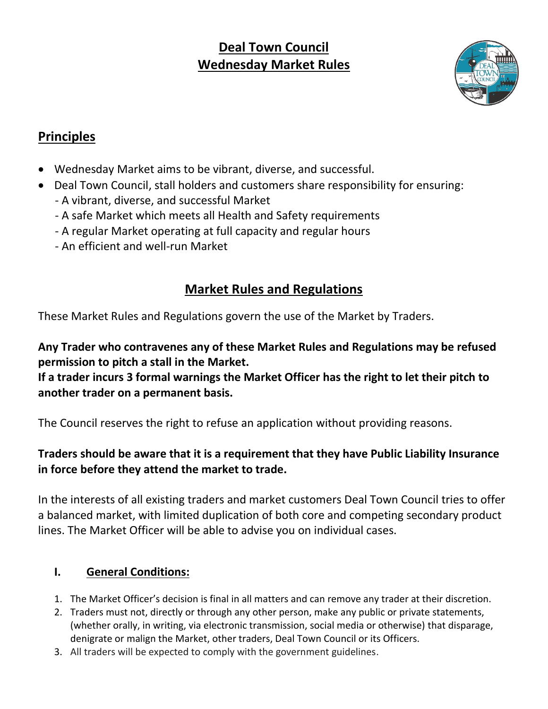# **Deal Town Council Wednesday Market Rules**



# **Principles**

- Wednesday Market aims to be vibrant, diverse, and successful.
- Deal Town Council, stall holders and customers share responsibility for ensuring: - A vibrant, diverse, and successful Market
	- A safe Market which meets all Health and Safety requirements
	- A regular Market operating at full capacity and regular hours
	- An efficient and well-run Market

# **Market Rules and Regulations**

These Market Rules and Regulations govern the use of the Market by Traders.

**Any Trader who contravenes any of these Market Rules and Regulations may be refused permission to pitch a stall in the Market.**

**If a trader incurs 3 formal warnings the Market Officer has the right to let their pitch to another trader on a permanent basis.**

The Council reserves the right to refuse an application without providing reasons.

## **Traders should be aware that it is a requirement that they have Public Liability Insurance in force before they attend the market to trade.**

In the interests of all existing traders and market customers Deal Town Council tries to offer a balanced market, with limited duplication of both core and competing secondary product lines. The Market Officer will be able to advise you on individual cases.

## **I. General Conditions:**

- 1. The Market Officer's decision is final in all matters and can remove any trader at their discretion.
- 2. Traders must not, directly or through any other person, make any public or private statements, (whether orally, in writing, via electronic transmission, social media or otherwise) that disparage, denigrate or malign the Market, other traders, Deal Town Council or its Officers.
- 3. All traders will be expected to comply with the government guidelines.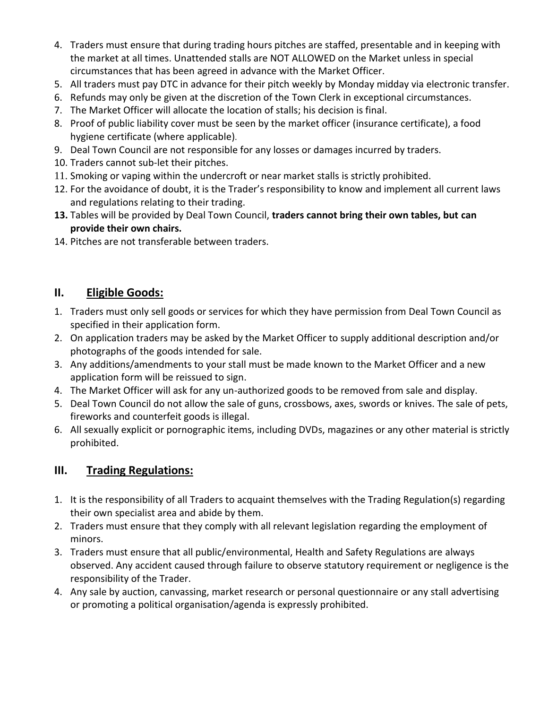- 4. Traders must ensure that during trading hours pitches are staffed, presentable and in keeping with the market at all times. Unattended stalls are NOT ALLOWED on the Market unless in special circumstances that has been agreed in advance with the Market Officer.
- 5. All traders must pay DTC in advance for their pitch weekly by Monday midday via electronic transfer.
- 6. Refunds may only be given at the discretion of the Town Clerk in exceptional circumstances.
- 7. The Market Officer will allocate the location of stalls; his decision is final.
- 8. Proof of public liability cover must be seen by the market officer (insurance certificate), a food hygiene certificate (where applicable).
- 9. Deal Town Council are not responsible for any losses or damages incurred by traders.
- 10. Traders cannot sub-let their pitches.
- 11. Smoking or vaping within the undercroft or near market stalls is strictly prohibited.
- 12. For the avoidance of doubt, it is the Trader's responsibility to know and implement all current laws and regulations relating to their trading.
- **13.** Tables will be provided by Deal Town Council, **traders cannot bring their own tables, but can provide their own chairs.**
- 14. Pitches are not transferable between traders.

#### **II. Eligible Goods:**

- 1. Traders must only sell goods or services for which they have permission from Deal Town Council as specified in their application form.
- 2. On application traders may be asked by the Market Officer to supply additional description and/or photographs of the goods intended for sale.
- 3. Any additions/amendments to your stall must be made known to the Market Officer and a new application form will be reissued to sign.
- 4. The Market Officer will ask for any un-authorized goods to be removed from sale and display.
- 5. Deal Town Council do not allow the sale of guns, crossbows, axes, swords or knives. The sale of pets, fireworks and counterfeit goods is illegal.
- 6. All sexually explicit or pornographic items, including DVDs, magazines or any other material is strictly prohibited.

## **III. Trading Regulations:**

- 1. It is the responsibility of all Traders to acquaint themselves with the Trading Regulation(s) regarding their own specialist area and abide by them.
- 2. Traders must ensure that they comply with all relevant legislation regarding the employment of minors.
- 3. Traders must ensure that all public/environmental, Health and Safety Regulations are always observed. Any accident caused through failure to observe statutory requirement or negligence is the responsibility of the Trader.
- 4. Any sale by auction, canvassing, market research or personal questionnaire or any stall advertising or promoting a political organisation/agenda is expressly prohibited.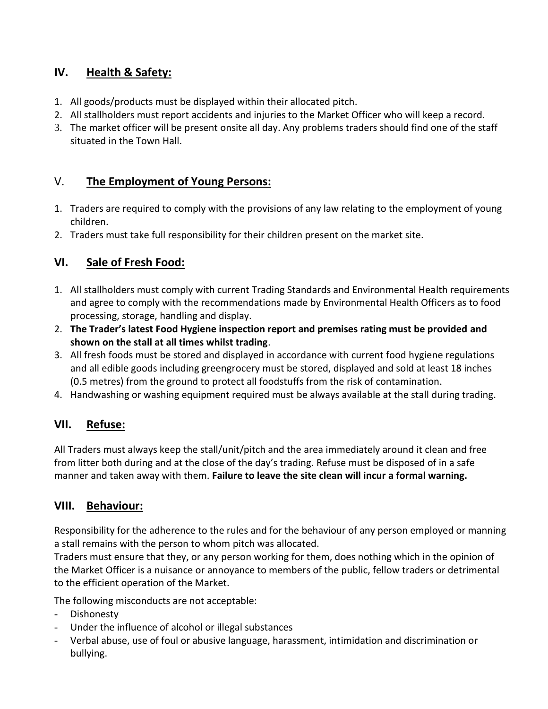## **IV. Health & Safety:**

- 1. All goods/products must be displayed within their allocated pitch.
- 2. All stallholders must report accidents and injuries to the Market Officer who will keep a record.
- 3. The market officer will be present onsite all day. Any problems traders should find one of the staff situated in the Town Hall.

## V. **The Employment of Young Persons:**

- 1. Traders are required to comply with the provisions of any law relating to the employment of young children.
- 2. Traders must take full responsibility for their children present on the market site.

## **VI. Sale of Fresh Food:**

- 1. All stallholders must comply with current Trading Standards and Environmental Health requirements and agree to comply with the recommendations made by Environmental Health Officers as to food processing, storage, handling and display.
- 2. **The Trader's latest Food Hygiene inspection report and premises rating must be provided and shown on the stall at all times whilst trading**.
- 3. All fresh foods must be stored and displayed in accordance with current food hygiene regulations and all edible goods including greengrocery must be stored, displayed and sold at least 18 inches (0.5 metres) from the ground to protect all foodstuffs from the risk of contamination.
- 4. Handwashing or washing equipment required must be always available at the stall during trading.

## **VII. Refuse:**

All Traders must always keep the stall/unit/pitch and the area immediately around it clean and free from litter both during and at the close of the day's trading. Refuse must be disposed of in a safe manner and taken away with them. **Failure to leave the site clean will incur a formal warning.**

#### **VIII. Behaviour:**

Responsibility for the adherence to the rules and for the behaviour of any person employed or manning a stall remains with the person to whom pitch was allocated.

Traders must ensure that they, or any person working for them, does nothing which in the opinion of the Market Officer is a nuisance or annoyance to members of the public, fellow traders or detrimental to the efficient operation of the Market.

The following misconducts are not acceptable:

- Dishonesty
- Under the influence of alcohol or illegal substances
- Verbal abuse, use of foul or abusive language, harassment, intimidation and discrimination or bullying.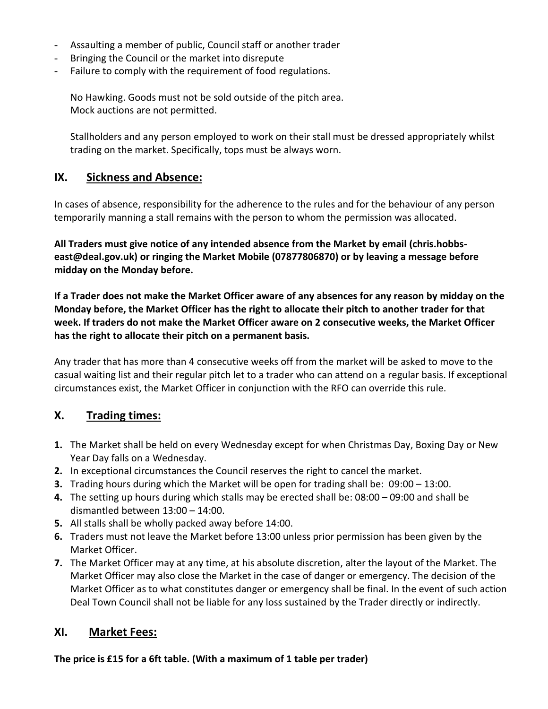- Assaulting a member of public, Council staff or another trader
- Bringing the Council or the market into disrepute
- Failure to comply with the requirement of food regulations.

No Hawking. Goods must not be sold outside of the pitch area. Mock auctions are not permitted.

Stallholders and any person employed to work on their stall must be dressed appropriately whilst trading on the market. Specifically, tops must be always worn.

#### **IX. Sickness and Absence:**

In cases of absence, responsibility for the adherence to the rules and for the behaviour of any person temporarily manning a stall remains with the person to whom the permission was allocated.

**All Traders must give notice of any intended absence from the Market by email (chris.hobbseast@deal.gov.uk) or ringing the Market Mobile (07877806870) or by leaving a message before midday on the Monday before.**

**If a Trader does not make the Market Officer aware of any absences for any reason by midday on the Monday before, the Market Officer has the right to allocate their pitch to another trader for that week. If traders do not make the Market Officer aware on 2 consecutive weeks, the Market Officer has the right to allocate their pitch on a permanent basis.**

Any trader that has more than 4 consecutive weeks off from the market will be asked to move to the casual waiting list and their regular pitch let to a trader who can attend on a regular basis. If exceptional circumstances exist, the Market Officer in conjunction with the RFO can override this rule.

#### **X. Trading times:**

- **1.** The Market shall be held on every Wednesday except for when Christmas Day, Boxing Day or New Year Day falls on a Wednesday.
- **2.** In exceptional circumstances the Council reserves the right to cancel the market.
- **3.** Trading hours during which the Market will be open for trading shall be: 09:00 13:00.
- **4.** The setting up hours during which stalls may be erected shall be: 08:00 09:00 and shall be dismantled between 13:00 – 14:00.
- **5.** All stalls shall be wholly packed away before 14:00.
- **6.** Traders must not leave the Market before 13:00 unless prior permission has been given by the Market Officer.
- **7.** The Market Officer may at any time, at his absolute discretion, alter the layout of the Market. The Market Officer may also close the Market in the case of danger or emergency. The decision of the Market Officer as to what constitutes danger or emergency shall be final. In the event of such action Deal Town Council shall not be liable for any loss sustained by the Trader directly or indirectly.

#### **XI. Market Fees:**

**The price is £15 for a 6ft table. (With a maximum of 1 table per trader)**